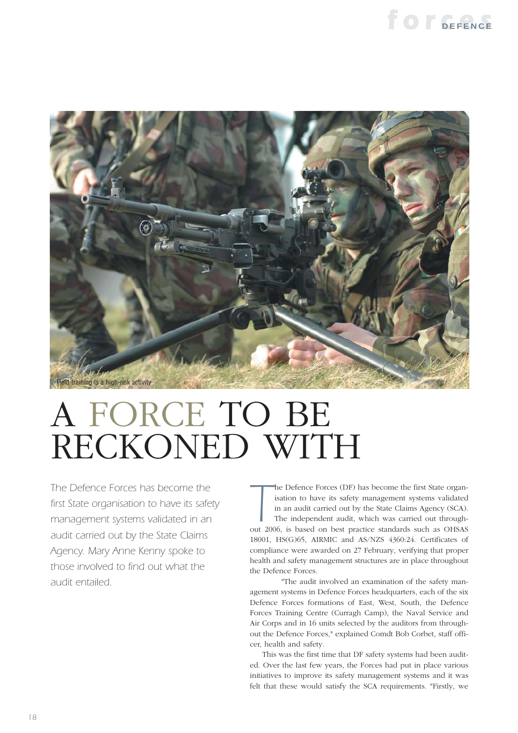



# A FORCE TO BE RECKONED WITH

*The Defence Forces has become the first State organisation to have its safety management systems validated in an audit carried out by the State Claims Agency. Mary Anne Kenny spoke to those involved to find out what the audit entailed.*

**The Defence Forces (DF) has become the first State organisation to have its safety management systems validated in an audit carried out by the State Claims Agency (SCA). The independent audit, which was carried out throug** he Defence Forces (DF) has become the first State organisation to have its safety management systems validated in an audit carried out by the State Claims Agency (SCA). The independent audit, which was carried out through-18001, HS(G)65, AIRMIC and AS/NZS 4360:24. Certificates of compliance were awarded on 27 February, verifying that proper health and safety management structures are in place throughout the Defence Forces.

"The audit involved an examination of the safety management systems in Defence Forces headquarters, each of the six Defence Forces formations of East, West, South, the Defence Forces Training Centre (Curragh Camp), the Naval Service and Air Corps and in 16 units selected by the auditors from throughout the Defence Forces," explained Comdt Bob Corbet, staff officer, health and safety.

This was the first time that DF safety systems had been audited. Over the last few years, the Forces had put in place various initiatives to improve its safety management systems and it was felt that these would satisfy the SCA requirements. "Firstly, we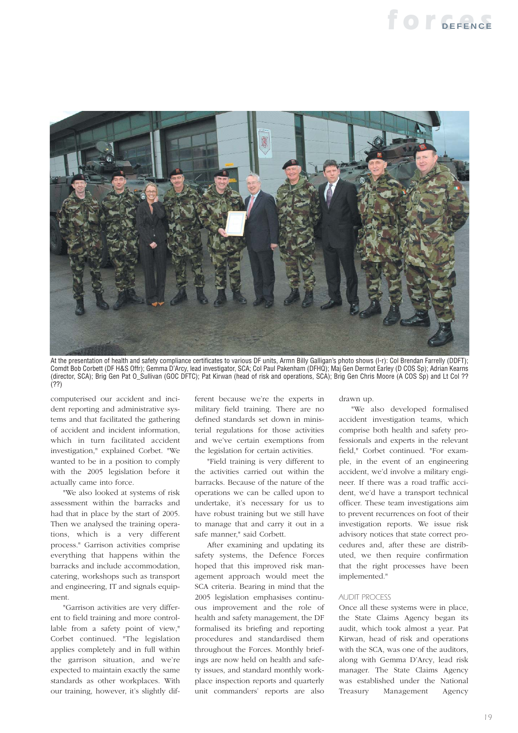### *forces* **DEFENCE**



At the presentation of health and safety compliance certificates to various DF units, Armn Billy Galligan's photo shows (l-r): Col Brendan Farrelly (DDFT); Comdt Bob Corbett (DF H&S Offr); Gemma D'Arcy, lead investigator, SCA; Col Paul Pakenham (DFHQ); Maj Gen Dermot Earley (D COS Sp); Adrian Kearns (director, SCA); Brig Gen Pat O\_Sullivan (GOC DFTC); Pat Kirwan (head of risk and operations, SCA); Brig Gen Chris Moore (A COS Sp) and Lt Col ?? (??)

computerised our accident and incident reporting and administrative systems and that facilitated the gathering of accident and incident information, which in turn facilitated accident investigation," explained Corbet. "We wanted to be in a position to comply with the 2005 legislation before it actually came into force.

"We also looked at systems of risk assessment within the barracks and had that in place by the start of 2005. Then we analysed the training operations, which is a very different process." Garrison activities comprise everything that happens within the barracks and include accommodation, catering, workshops such as transport and engineering, IT and signals equipment.

"Garrison activities are very different to field training and more controllable from a safety point of view," Corbet continued. "The legislation applies completely and in full within the garrison situation, and we're expected to maintain exactly the same standards as other workplaces. With our training, however, it's slightly different because we're the experts in military field training. There are no defined standards set down in ministerial regulations for those activities and we've certain exemptions from the legislation for certain activities.

"Field training is very different to the activities carried out within the barracks. Because of the nature of the operations we can be called upon to undertake, it's necessary for us to have robust training but we still have to manage that and carry it out in a safe manner," said Corbett.

After examining and updating its safety systems, the Defence Forces hoped that this improved risk management approach would meet the SCA criteria. Bearing in mind that the 2005 legislation emphasises continuous improvement and the role of health and safety management, the DF formalised its briefing and reporting procedures and standardised them throughout the Forces. Monthly briefings are now held on health and safety issues, and standard monthly workplace inspection reports and quarterly unit commanders' reports are also drawn up.

"We also developed formalised accident investigation teams, which comprise both health and safety professionals and experts in the relevant field," Corbet continued. "For example, in the event of an engineering accident, we'd involve a military engineer. If there was a road traffic accident, we'd have a transport technical officer. These team investigations aim to prevent recurrences on foot of their investigation reports. We issue risk advisory notices that state correct procedures and, after these are distributed, we then require confirmation that the right processes have been implemented."

#### *AUDIT PROCESS*

Once all these systems were in place, the State Claims Agency began its audit, which took almost a year. Pat Kirwan, head of risk and operations with the SCA, was one of the auditors, along with Gemma D'Arcy, lead risk manager. The State Claims Agency was established under the National Treasury Management Agency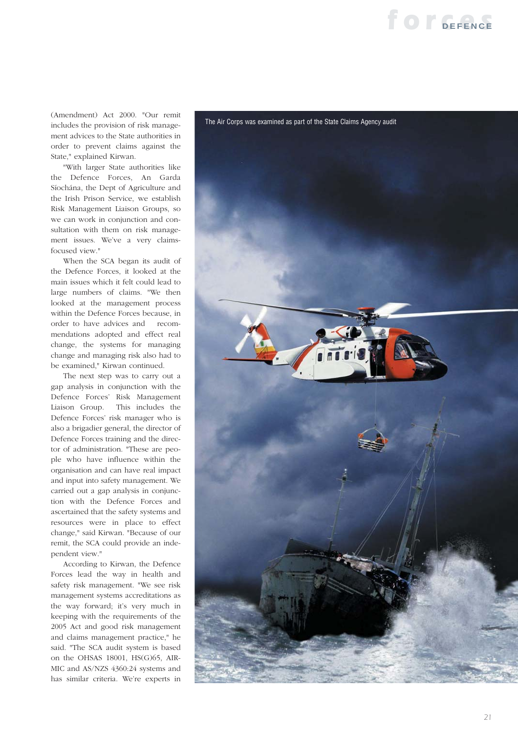## **for SEFENCE**

(Amendment) Act 2000. "Our remit includes the provision of risk management advices to the State authorities in order to prevent claims against the State," explained Kirwan.

"With larger State authorities like the Defence Forces, An Garda Síochána, the Dept of Agriculture and the Irish Prison Service, we establish Risk Management Liaison Groups, so we can work in conjunction and consultation with them on risk management issues. We've a very claimsfocused view."

When the SCA began its audit of the Defence Forces, it looked at the main issues which it felt could lead to large numbers of claims. "We then looked at the management process within the Defence Forces because, in order to have advices and recommendations adopted and effect real change, the systems for managing change and managing risk also had to be examined," Kirwan continued.

The next step was to carry out a gap analysis in conjunction with the Defence Forces' Risk Management Liaison Group. This includes the Defence Forces' risk manager who is also a brigadier general, the director of Defence Forces training and the director of administration. "These are people who have influence within the organisation and can have real impact and input into safety management. We carried out a gap analysis in conjunction with the Defence Forces and ascertained that the safety systems and resources were in place to effect change," said Kirwan. "Because of our remit, the SCA could provide an independent view."

According to Kirwan, the Defence Forces lead the way in health and safety risk management. "We see risk management systems accreditations as the way forward; it's very much in keeping with the requirements of the 2005 Act and good risk management and claims management practice," he said. "The SCA audit system is based on the OHSAS 18001, HS(G)65, AIR-MIC and AS/NZS 4360:24 systems and has similar criteria. We're experts in